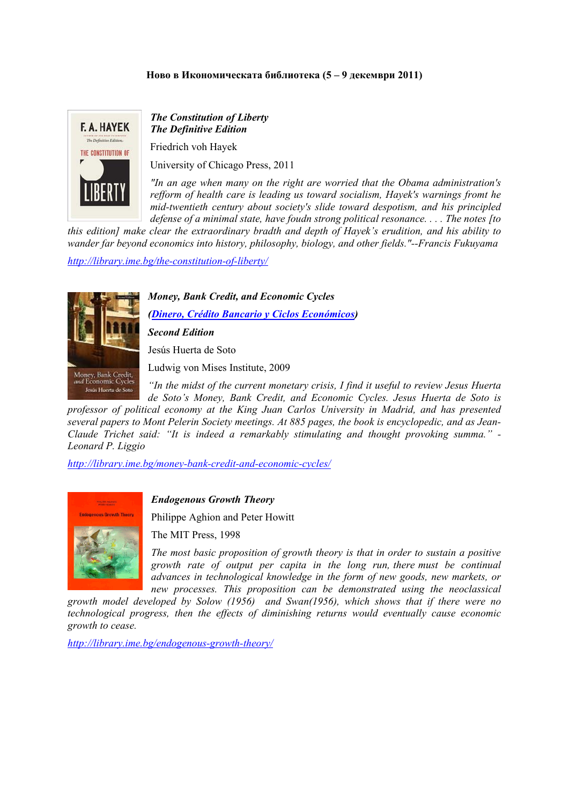#### **Ново в Икономическата библиотека (5 – 9 декември 2011)**



# *The Constitution of Liberty The Definitive Edition*

Friedrich voh Hayek

University of Chicago Press, 2011

*"In an age when many on the right are worried that the Obama administration's refform of health care is leading us toward socialism, Hayek's warnings fromt he mid-twentieth century about society's slide toward despotism, and his principled defense of a minimal state, have foudn strong political resonance. . . . The notes [to* 

*this edition] make clear the extraordinary bradth and depth of Hayek's erudition, and his ability to wander far beyond economics into history, philosophy, biology, and other fields."--Francis Fukuyama* 

*<http://library.ime.bg/the-constitution-of-liberty/>*



*Money, Bank Credit, and Economic Cycles* 

*([Dinero, Crédito Bancario y Ciclos Económicos](http://library.ime.bg/dinero-crdito-bancario-y-ciclos-econmicos/))* 

*Second Edition* 

Jesús Huerta de Soto

Ludwig von Mises Institute, 2009

*"In the midst of the current monetary crisis, I find it useful to review Jesus Huerta de Soto's Money, Bank Credit, and Economic Cycles. Jesus Huerta de Soto is* 

*professor of political economy at the King Juan Carlos University in Madrid, and has presented several papers to Mont Pelerin Society meetings. At 885 pages, the book is encyclopedic, and as Jean-Claude Trichet said: "It is indeed a remarkably stimulating and thought provoking summa." - Leonard P. Liggio* 

*<http://library.ime.bg/money-bank-credit-and-economic-cycles/>*



## *Endogenous Growth Theory*

Philippe Aghion and Peter Howitt

The MIT Press, 1998

*The most basic proposition of growth theory is that in order to sustain a positive growth rate of output per capita in the long run, there must be continual advances in technological knowledge in the form of new goods, new markets, or new processes. This proposition can be demonstrated using the neoclassical* 

*growth model developed by Solow (1956) and Swan(1956), which shows that if there were no technological progress, then the effects of diminishing returns would eventually cause economic growth to cease.* 

*<http://library.ime.bg/endogenous-growth-theory/>*